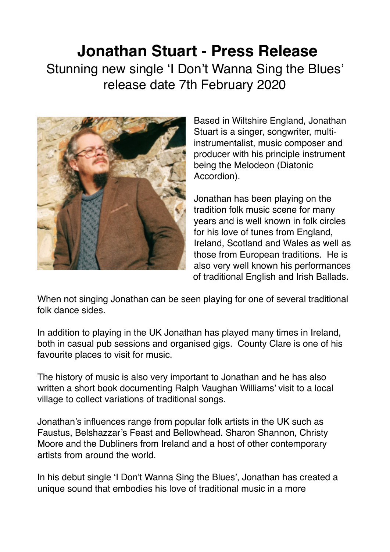## **Jonathan Stuart - Press Release**

Stunning new single 'I Don't Wanna Sing the Blues' release date 7th February 2020



Based in Wiltshire England, Jonathan Stuart is a singer, songwriter, multiinstrumentalist, music composer and producer with his principle instrument being the Melodeon (Diatonic Accordion).

Jonathan has been playing on the tradition folk music scene for many years and is well known in folk circles for his love of tunes from England, Ireland, Scotland and Wales as well as those from European traditions. He is also very well known his performances of traditional English and Irish Ballads.

When not singing Jonathan can be seen playing for one of several traditional folk dance sides.

In addition to playing in the UK Jonathan has played many times in Ireland, both in casual pub sessions and organised gigs. County Clare is one of his favourite places to visit for music.

The history of music is also very important to Jonathan and he has also written a short book documenting Ralph Vaughan Williams' visit to a local village to collect variations of traditional songs.

Jonathan's influences range from popular folk artists in the UK such as Faustus, Belshazzar's Feast and Bellowhead. Sharon Shannon, Christy Moore and the Dubliners from Ireland and a host of other contemporary artists from around the world.

In his debut single 'I Don't Wanna Sing the Blues', Jonathan has created a unique sound that embodies his love of traditional music in a more